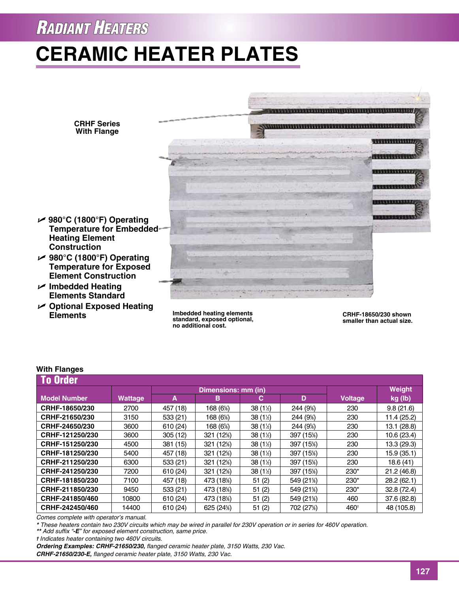### **RADIANT HEATERS**

# **Ceramic Heater Plates**



**Imbedded heating elements standard, exposed optional, no additional cost.**

**CRHF-18650/230 shown smaller than actual size.**

#### To Order **Dimensions: mm (in)** Weight  **Model Number Wattage A B C D Voltage kg (lb) CRHF-18650/230** 2700 457 (18) 168 (6%) ⁄8) 38 (11 ⁄2) 244 (95 ⁄8) 230 9.8 (21.6) **CRHF-21650/230** 3150 533 (21) 168 (6%) ⁄8) 38 (11 ⁄2) 244 (95 ⁄8) 230 11.4 (25.2) **CRHF-24650/230** | 3600 | 610 (24) | 168 (6%) ⁄8) 38 (11 ⁄2) 244 (95 ⁄8) 230 13.1 (28.8) **CRHF-121250/230** 3600 3600 305 (12) 321 (12%) ⁄8) 38 (11 ⁄2) 397 (155 ⁄8) 230 10.6 (23.4) **CRHF-151250/230** 4500 381 (15) 321 (12%) ⁄8) 38 (11 ⁄2) 397 (155 ⁄8) 230 13.3 (29.3) **CRHF-181250/230** 5400 457 (18) 321 (125 ⁄8) 38 (11 ⁄2) 397 (155 ⁄8) 230 15.9 (35.1) **CRHF-211250/230** 6300 533 (21) 321 (125) ⁄8) 38 (11 ⁄2) 397 (155  $230$  18.6 (41) **CRHF-241250/230** 7200 610 (24) 321 (12<sup>5</sup>) ⁄8) 38 (11 ⁄2) 397 (155 ⁄8) 230\* 21.2 (46.8) **CRHF-181850/230** 7100 457 (18) 473 (18%)  $\begin{array}{|c|c|c|c|c|} \hline 51 & (2) & \quad 549 & (21\%) \hline \end{array}$  $230^*$  28.2 (62.1) **CRHF-211850/230** 9450 533 (21) 473 (185)  $(51 (2)$  549 (21\%) ⁄8) 230\* 32.8 (72.4) **CRHF-241850/460** 10800 610 (24) 473 (18%)  $(51 (2) \quad | \quad 549 (21%)$ ⁄8) 460 37.6 (82.8) **CRHF-242450/460** 14400 610 (24) 625 (24%)  $(2)$  702 (27%) ⁄8) 460† 48 (105.8) **With Flanges**

*Comes complete with operator's manual.*

**Elements**

*\* These heaters contain two 230V circuits which may be wired in parallel for 230V operation or in series for 460V operation.*

*\*\* Add suffix "-E" for exposed element construction, same price.*

*† Indicates heater containing two 460V circuits.*

*Ordering Examples: CRHF-21650/230, flanged ceramic heater plate, 3150 Watts, 230 Vac.*

*CRHF-21650/230-E, flanged ceramic heater plate, 3150 Watts, 230 Vac.*

### **127**